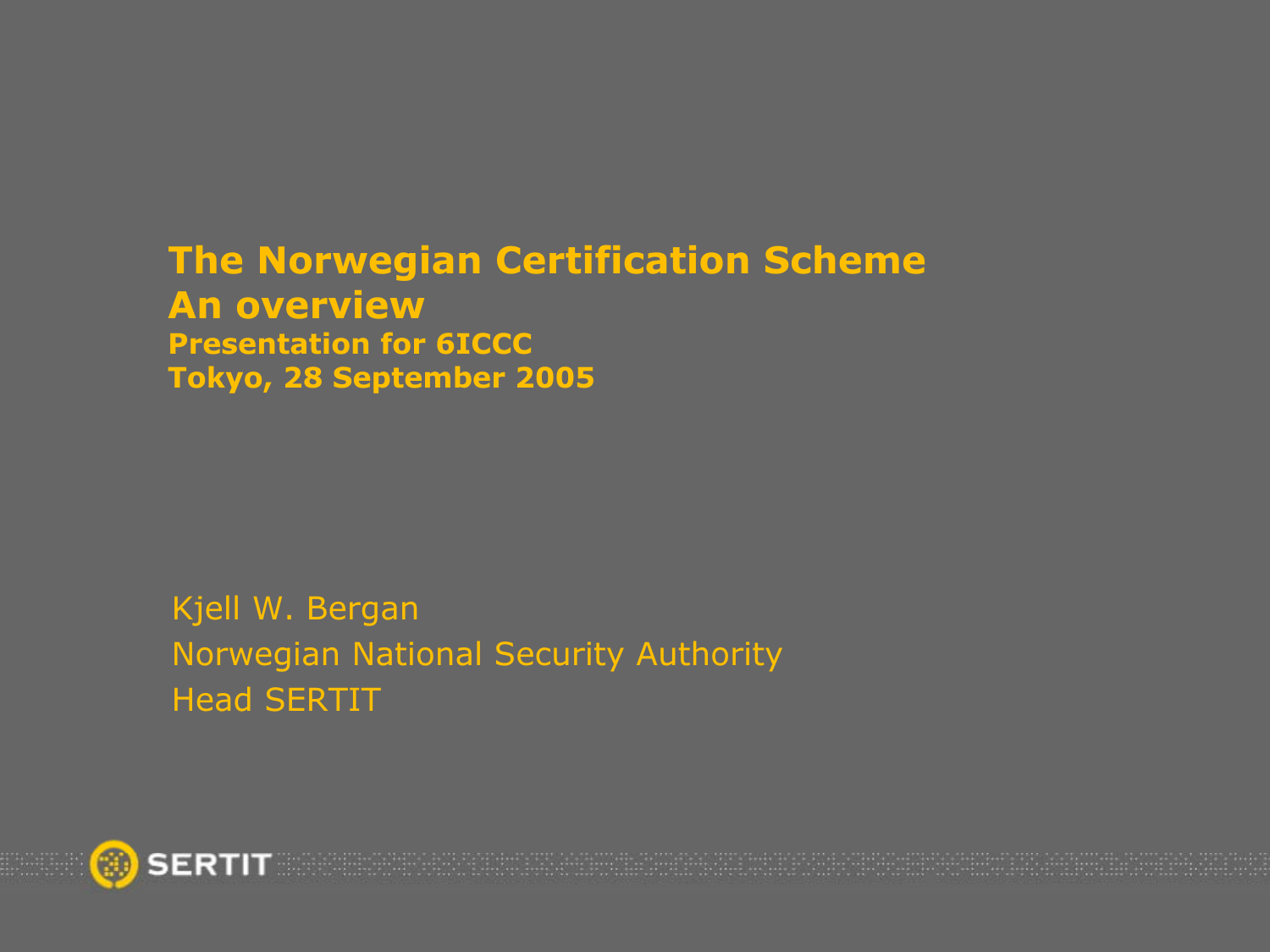#### The Norwegian Certification Scheme An overview Presentation for 6ICCC Tokyo, 28 September 2005

Kjell W. Bergan Norwegian National Security Authority Head SERTIT

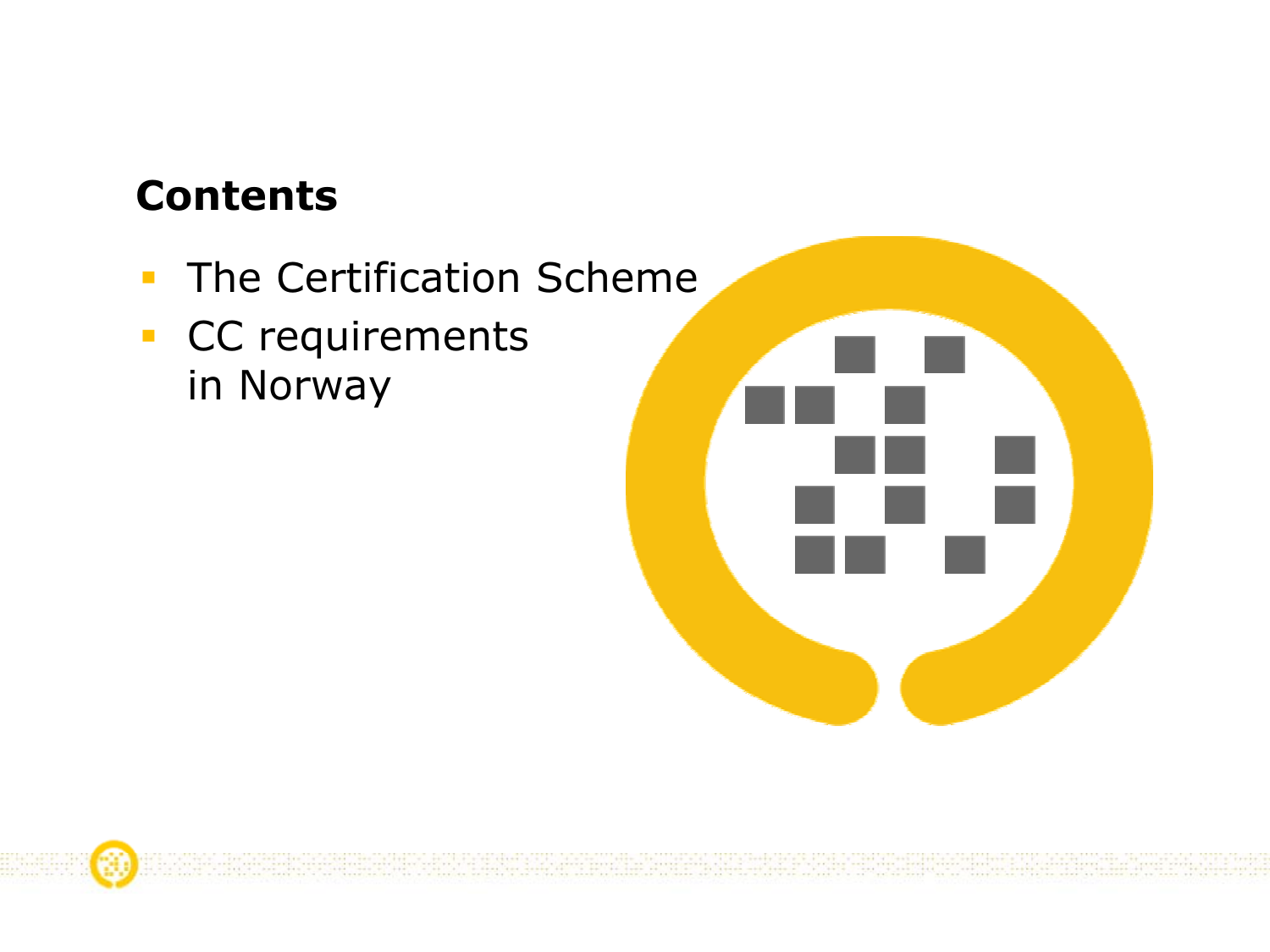### Contents

- $\mathcal{L}_{\mathcal{A}}$ **The Certification Scheme**
- **CC** requirements in Norway



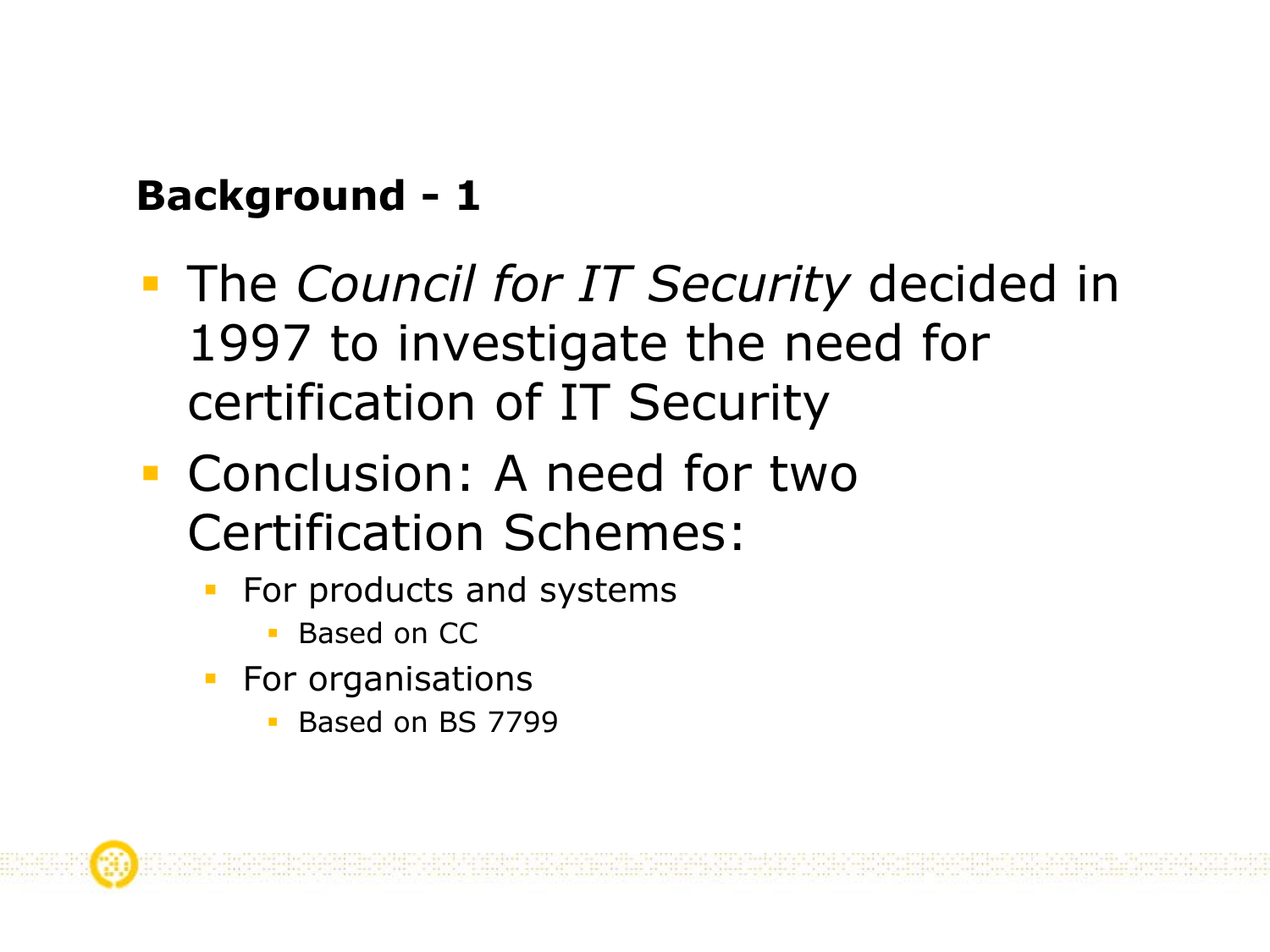# Background - 1

- **The Council for IT Security decided in** 1997 to investigate the need for certification of IT Security
- Conclusion: A need for two Certification Schemes:
	- For products and systems
		- **Based on CC**
	- For organisations
		- Based on BS 7799



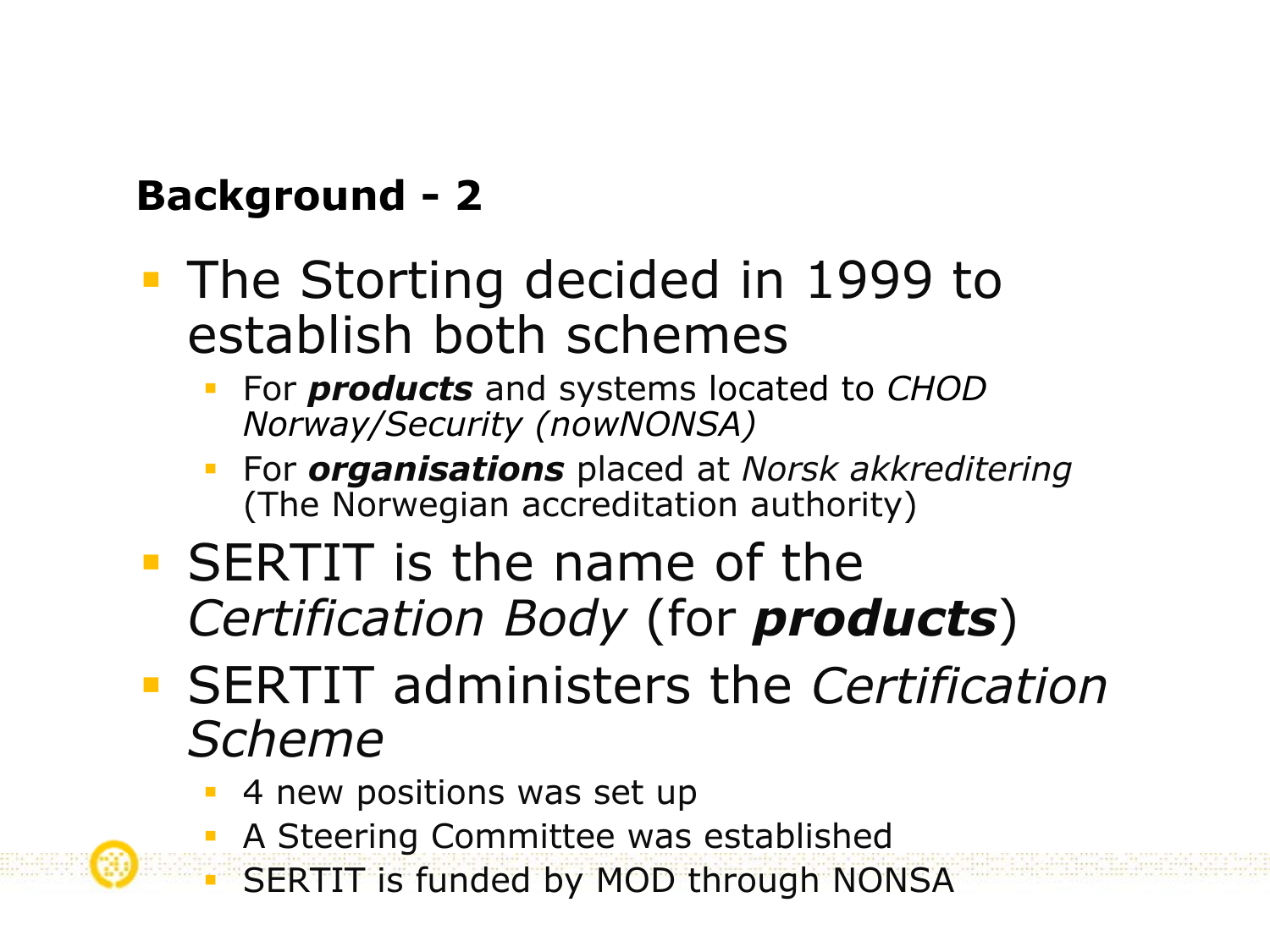# Background - 2

- **The Storting decided in 1999 to** establish both schemes
	- For **products** and systems located to CHOD Norway/Security (nowNONSA)
	- For *organisations* placed at Norsk akkreditering (The Norwegian accreditation authority)
- SERTIT is the name of the Certification Body (for **products**)
- **SERTIT administers the Certification** Scheme
	- 4 new positions was set up
	- A Steering Committee was established
	- SERTIT is funded by MOD through NONSA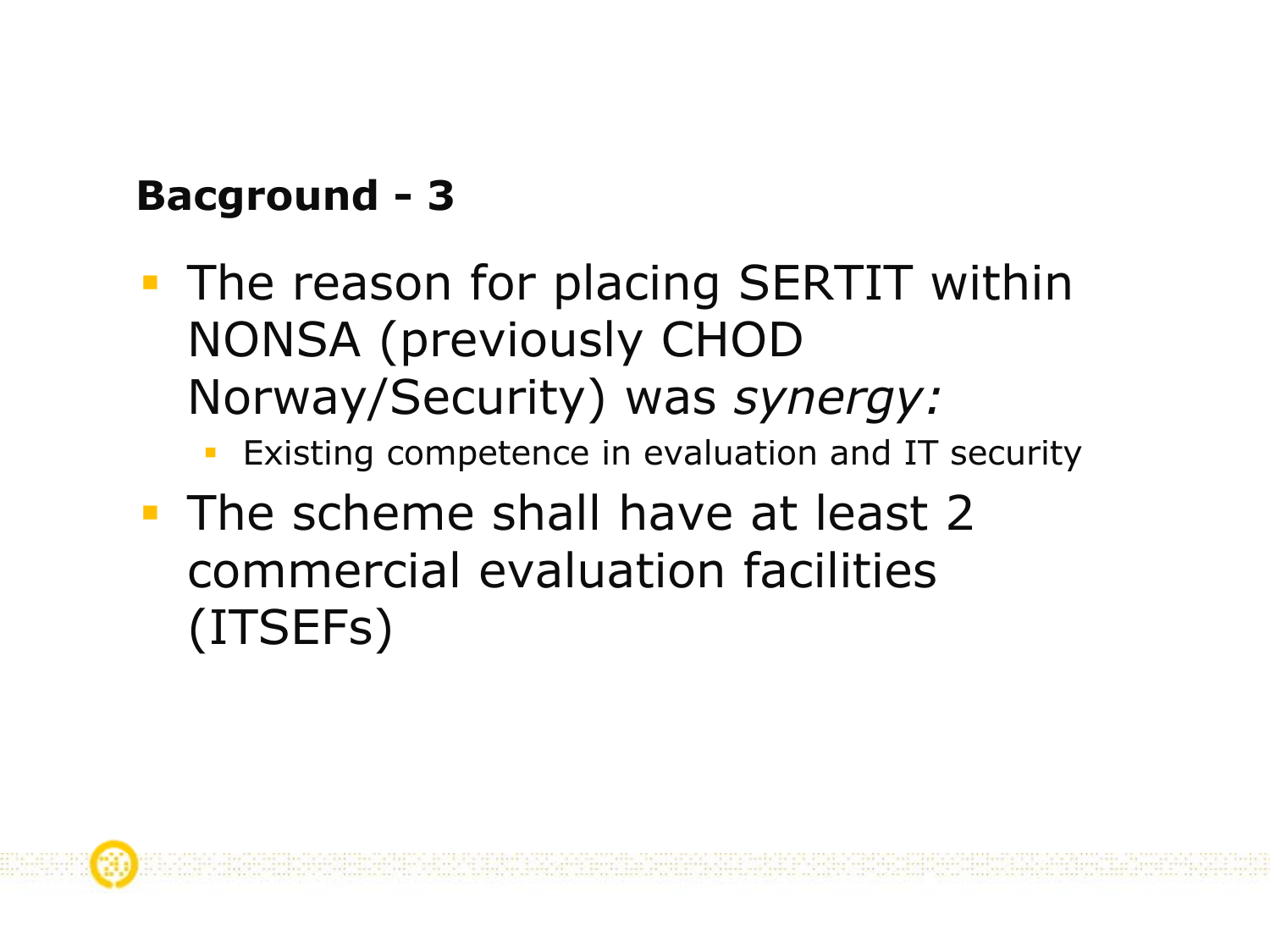# Bacground - 3

- **The reason for placing SERTIT within** NONSA (previously CHOD Norway/Security) was synergy:
	- Existing competence in evaluation and IT security
- **The scheme shall have at least 2** commercial evaluation facilities (ITSEFs)

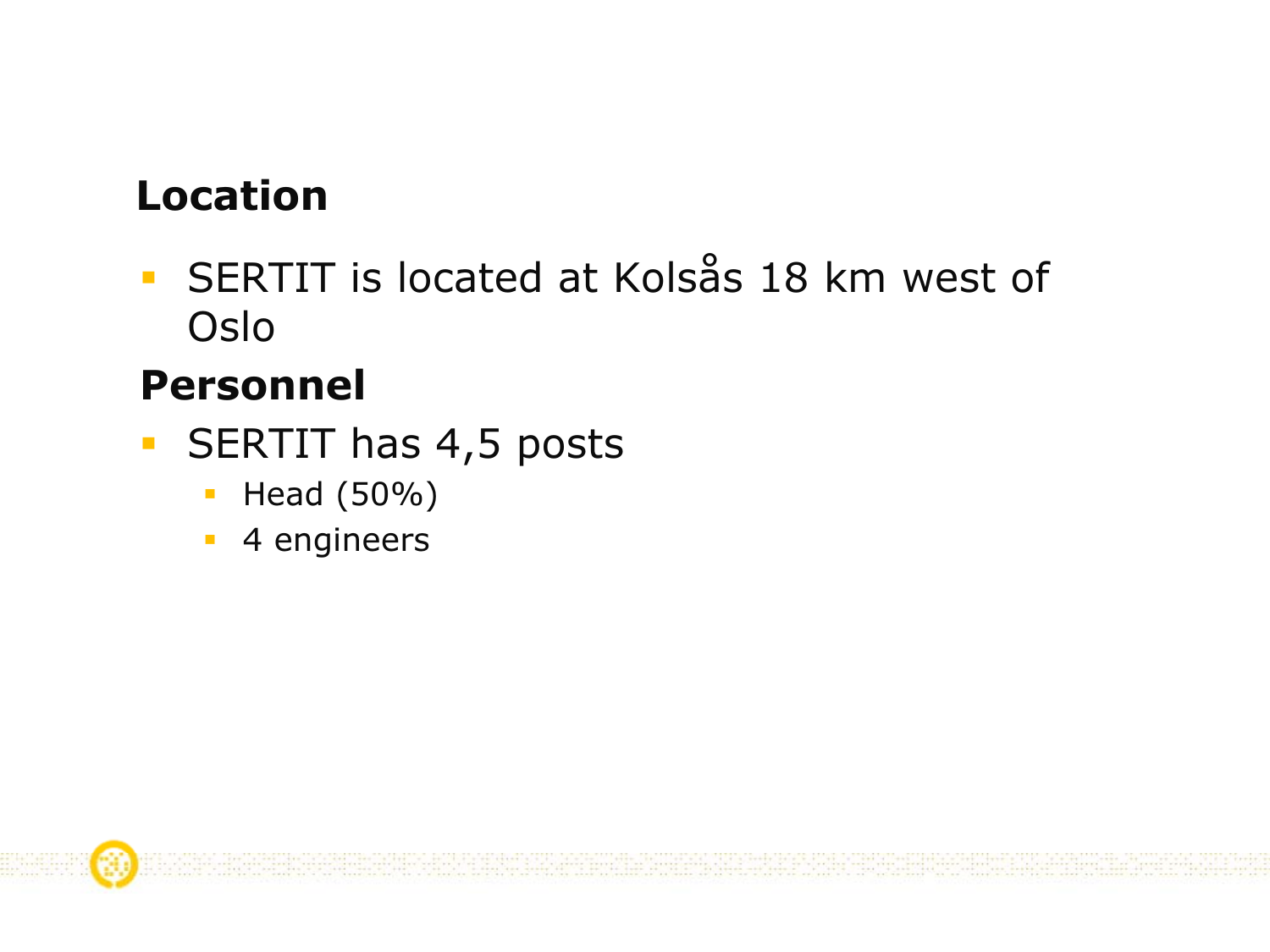## Location

 SERTIT is located at Kolsås 18 km west of Oslo

### Personnel

- $\overline{\mathbb{R}}$ SERTIT has 4,5 posts
	- $\overline{\phantom{a}}$ Head (50%)
	- **4** engineers

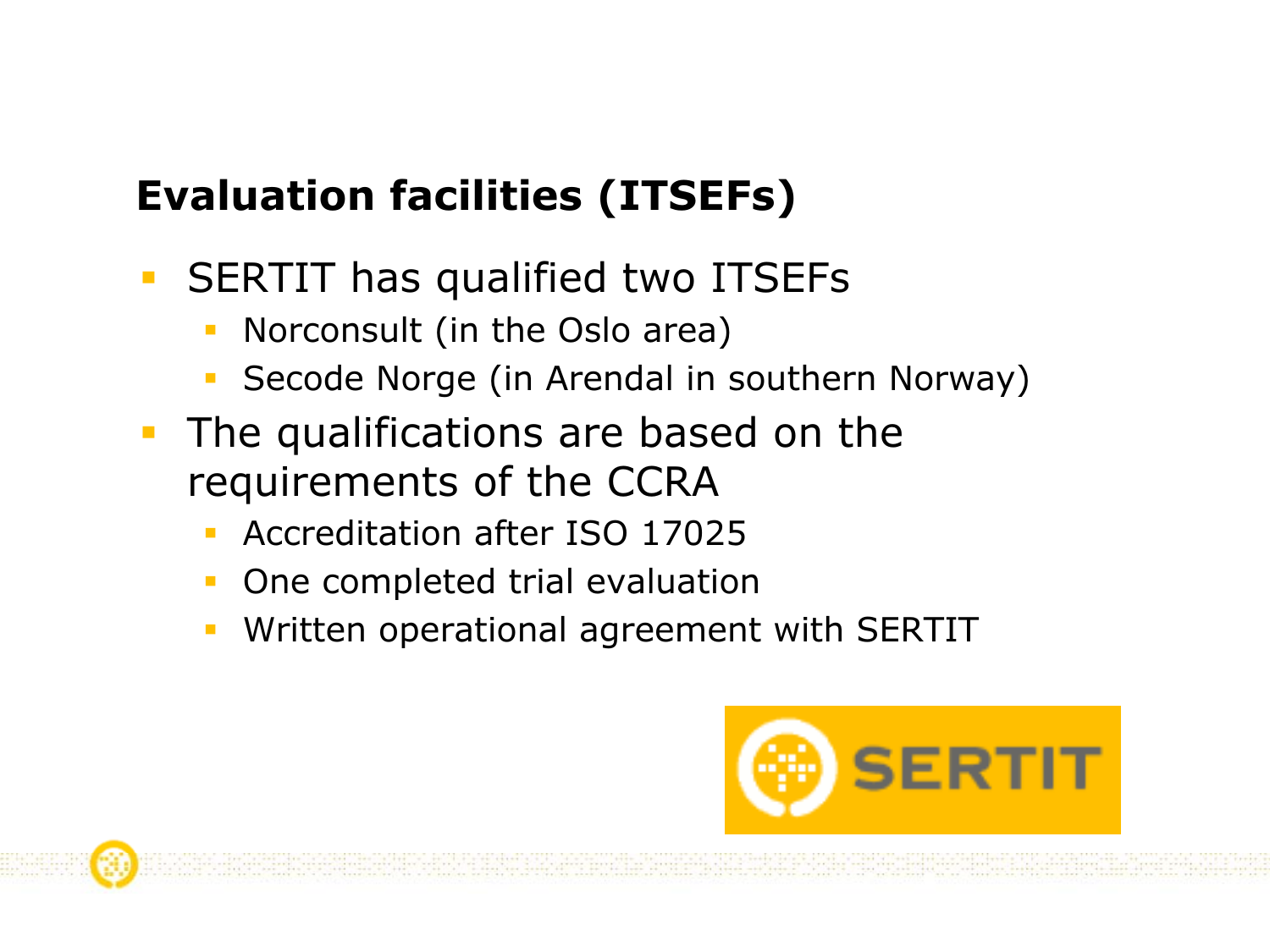# Evaluation facilities (ITSEFs)

- $\overline{\phantom{a}}$  SERTIT has qualified two ITSEFs
	- Norconsult (in the Oslo area)
	- Secode Norge (in Arendal in southern Norway)
- The qualifications are based on the requirements of the CCRA
	- Accreditation after ISO 17025
	- One completed trial evaluation
	- Written operational agreement with SERTIT



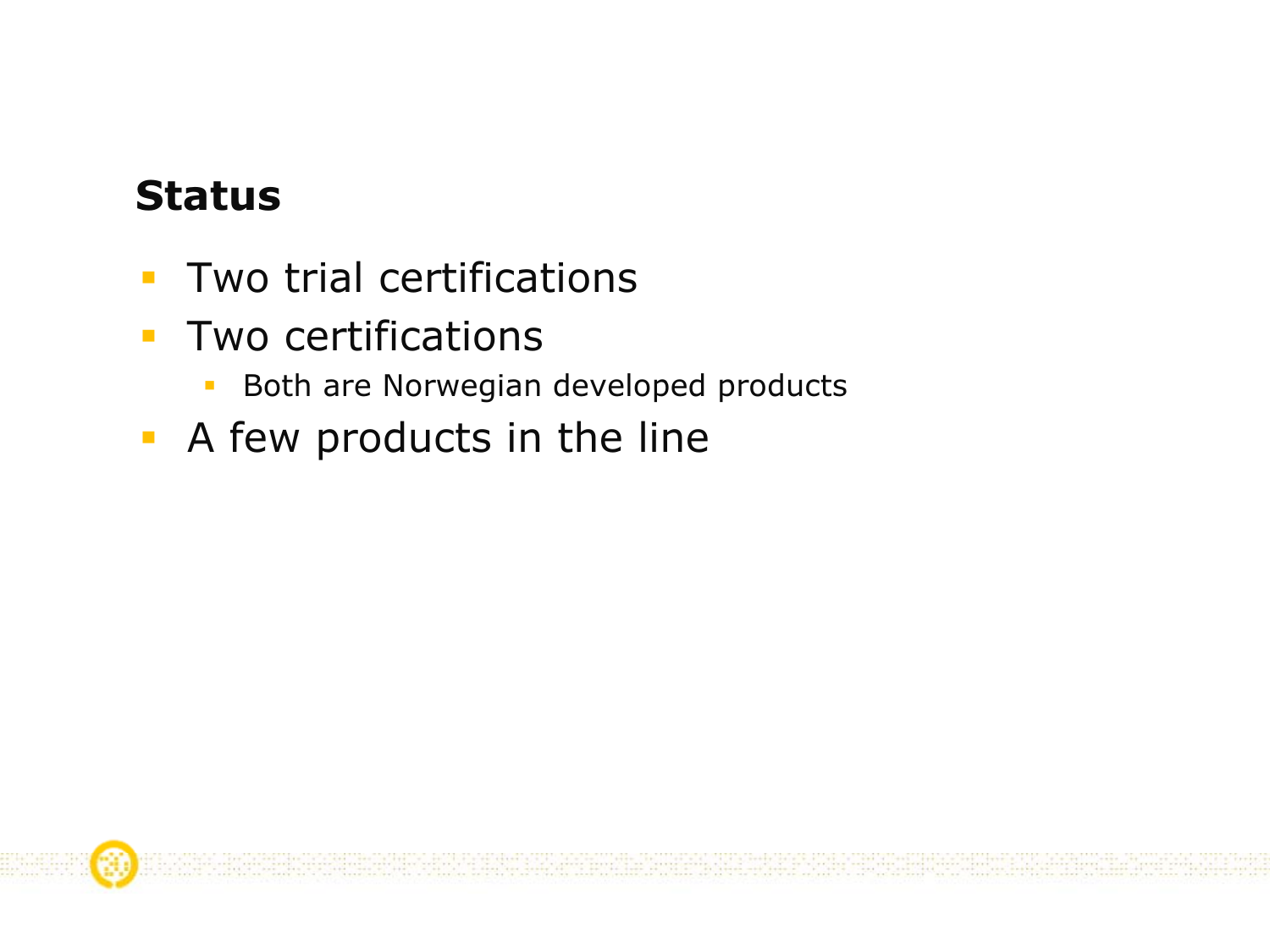## Status

- $\overline{\mathcal{A}}$ Two trial certifications
- $\mathcal{L}_{\mathcal{A}}$ **Two certifications** 
	- $\overline{\phantom{a}}$ Both are Norwegian developed products
- **A** few products in the line

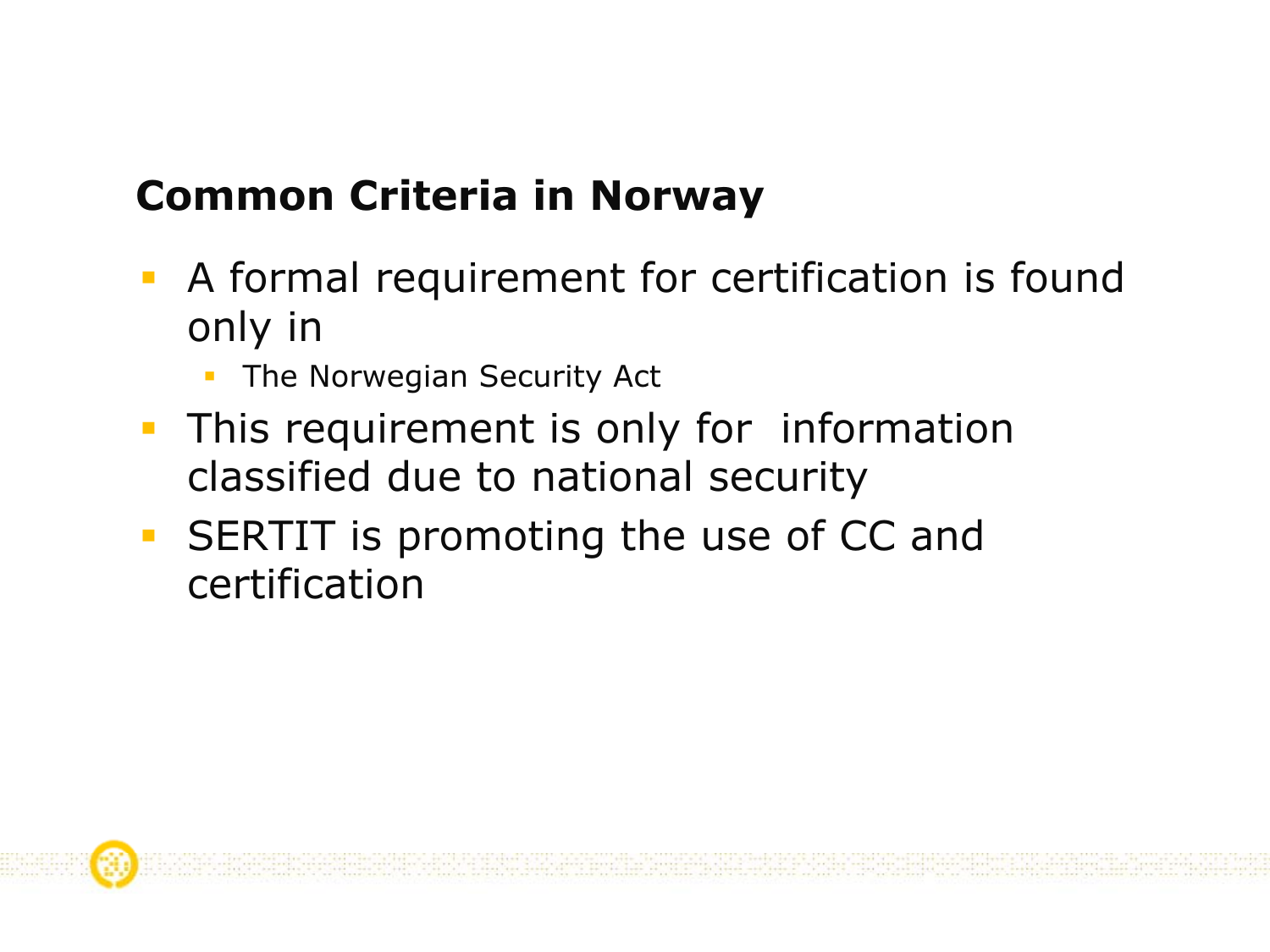# Common Criteria in Norway

- **A** formal requirement for certification is found only in
	- The Norwegian Security Act
- **This requirement is only for information** classified due to national security
- **SERTIT is promoting the use of CC and** certification